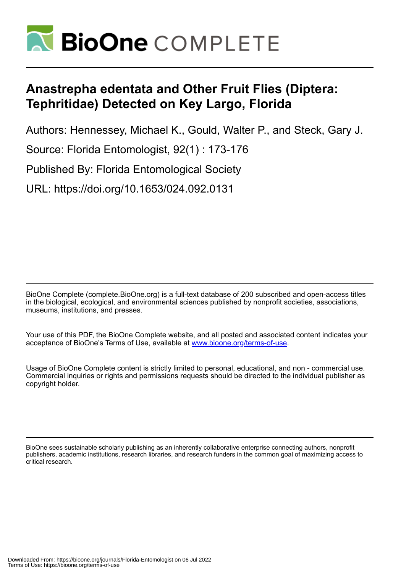

## **Anastrepha edentata and Other Fruit Flies (Diptera: Tephritidae) Detected on Key Largo, Florida**

Authors: Hennessey, Michael K., Gould, Walter P., and Steck, Gary J.

Source: Florida Entomologist, 92(1) : 173-176

Published By: Florida Entomological Society

URL: https://doi.org/10.1653/024.092.0131

BioOne Complete (complete.BioOne.org) is a full-text database of 200 subscribed and open-access titles in the biological, ecological, and environmental sciences published by nonprofit societies, associations, museums, institutions, and presses.

Your use of this PDF, the BioOne Complete website, and all posted and associated content indicates your acceptance of BioOne's Terms of Use, available at www.bioone.org/terms-of-use.

Usage of BioOne Complete content is strictly limited to personal, educational, and non - commercial use. Commercial inquiries or rights and permissions requests should be directed to the individual publisher as copyright holder.

BioOne sees sustainable scholarly publishing as an inherently collaborative enterprise connecting authors, nonprofit publishers, academic institutions, research libraries, and research funders in the common goal of maximizing access to critical research.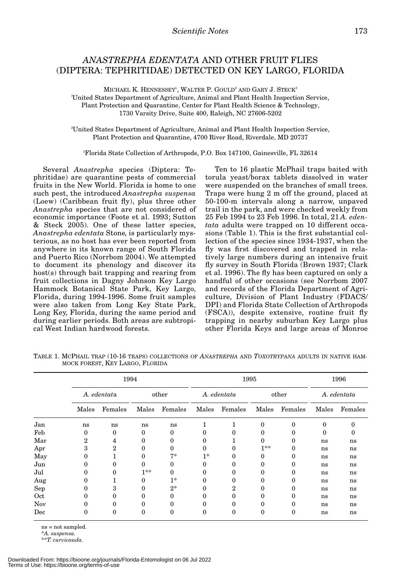## *ANASTREPHA EDENTATA* AND OTHER FRUIT FLIES (DIPTERA: TEPHRITIDAE) DETECTED ON KEY LARGO, FLORIDA

MICHAEL K. HENNESSEY<sup>l</sup>, WALTER P. GOULD<sup>2</sup> AND GARY J. STECK<sup>3</sup> l United States Department of Agriculture, Animal and Plant Health Inspection Service, Plant Protection and Quarantine, Center for Plant Health Science & Technology, 1730 Varsity Drive, Suite 400, Raleigh, NC 27606-5202

2 United States Department of Agriculture, Animal and Plant Health Inspection Service, Plant Protection and Quarantine, 4700 River Road, Riverdale, MD 20737

3 Florida State Collection of Arthropods, P.O. Box 147100, Gainesville, FL 32614

Several *Anastrepha* species (Diptera: Tephritidae) are quarantine pests of commercial fruits in the New World. Florida is home to one such pest, the introduced *Anastrepha suspensa* (Loew) (Caribbean fruit fly), plus three other *Anastrepha* species that are not considered of economic importance (Foote et al. 1993; Sutton & Steck 2005). One of these latter species, *Anastrepha edentata* Stone*,* is particularly mysterious, as no host has ever been reported from anywhere in its known range of South Florida and Puerto Rico (Norrbom 2004). We attempted to document its phenology and discover its host(s) through bait trapping and rearing from fruit collections in Dagny Johnson Key Largo Hammock Botanical State Park, Key Largo, Florida, during 1994-1996. Some fruit samples were also taken from Long Key State Park, Long Key, Florida, during the same period and during earlier periods. Both areas are subtropical West Indian hardwood forests.

Ten to 16 plastic McPhail traps baited with torula yeast/borax tablets dissolved in water were suspended on the branches of small trees. Traps were hung 2 m off the ground, placed at 50-100-m intervals along a narrow, unpaved trail in the park, and were checked weekly from 25 Feb 1994 to 23 Feb 1996. In total, 21 *A. edentata* adults were trapped on 10 different occasions (Table 1). This is the first substantial collection of the species since 1934-1937, when the fly was first discovered and trapped in relatively large numbers during an intensive fruit fly survey in South Florida (Brown 1937; Clark et al. 1996). The fly has been captured on only a handful of other occasions (see Norrbom 2007 and records of the Florida Department of Agriculture, Division of Plant Industry (FDACS/ DPI) and Florida State Collection of Arthropods (FSCA)), despite extensive, routine fruit fly trapping in nearby suburban Key Largo plus other Florida Keys and large areas of Monroe

|     | 1994        |                |          |         | 1995        |         |          |          | 1996        |         |
|-----|-------------|----------------|----------|---------|-------------|---------|----------|----------|-------------|---------|
|     | A. edentata |                | other    |         | A. edentata |         | other    |          | A. edentata |         |
|     | Males       | Females        | Males    | Females | Males       | Females | Males    | Females  | Males       | Females |
| Jan | ns          | ns             | ns       | ns      |             |         | $\Omega$ | $\theta$ | 0           | 0       |
| Feb | 0           | $\theta$       | 0        | 0       | $\Omega$    |         | 0        | 0        | 0           | 0       |
| Mar | 2           | 4              | 0        | 0       | 0           |         | 0        | 0        | ns          | ns      |
| Apr | 3           | $\overline{2}$ | 0        | 0       | $\Omega$    |         | $1**$    | $\theta$ | ns          | ns      |
| May | 0           |                | $\Omega$ | $7*$    | $1*$        | 0       | 0        | 0        | ns          | ns      |
| Jun |             | 0              | 0        | 0       | 0           |         | 0        | 0        | ns          | ns      |
| Jul |             | 0              | $1**$    | 0       | $\Omega$    |         | 0        | $\theta$ | ns          | ns      |
| Aug | 0           |                | 0        | $1*$    | $\Omega$    | 0       | 0        | 0        | ns          | ns      |
| Sep | 0           | 3              |          | $2*$    | $\Omega$    | 2       | $\Omega$ | $\theta$ | ns          | ns      |
| Oct | 0           | 0              | 0        | 0       | 0           | 0       | 0        | 0        | ns          | ns      |
| Nov |             | 0              | 0        | 0       | 0           |         | $\Omega$ | $\theta$ | ns          | ns      |
| Dec | 0           | 0              | 0        | 0       | 0           | 0       | $\theta$ | 0        | ns          | ns      |

TABLE 1. MCPHAIL TRAP (10-16 TRAPS) COLLECTIONS OF *ANASTREPHA* AND *TOXOTRYPANA* ADULTS IN NATIVE HAM-MOCK FOREST, KEY LARGO, FLORIDA

ns = not sampled.

\**A. suspensa.*

\*\**T. curvicauda.*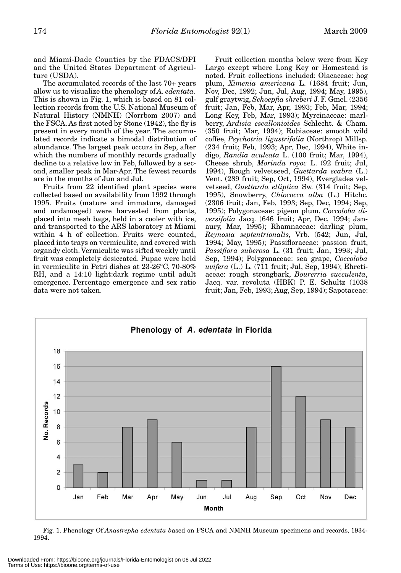and Miami-Dade Counties by the FDACS/DPI and the United States Department of Agriculture (USDA).

The accumulated records of the last 70+ years allow us to visualize the phenology of *A. edentata*. This is shown in Fig. 1, which is based on 81 collection records from the U.S. National Museum of Natural History (NMNH) (Norrbom 2007) and the FSCA. As first noted by Stone (1942), the fly is present in every month of the year. The accumulated records indicate a bimodal distribution of abundance. The largest peak occurs in Sep, after which the numbers of monthly records gradually decline to a relative low in Feb, followed by a second, smaller peak in Mar-Apr. The fewest records are in the months of Jun and Jul.

Fruits from 22 identified plant species were collected based on availability from 1992 through 1995. Fruits (mature and immature, damaged and undamaged) were harvested from plants, placed into mesh bags, held in a cooler with ice, and transported to the ARS laboratory at Miami within 4 h of collection. Fruits were counted, placed into trays on vermiculite, and covered with organdy cloth. Vermiculite was sifted weekly until fruit was completely desiccated. Pupae were held in vermiculite in Petri dishes at 23-26°C, 70-80% RH, and a 14:10 light:dark regime until adult emergence. Percentage emergence and sex ratio data were not taken.

Fruit collection months below were from Key Largo except where Long Key or Homestead is noted. Fruit collections included: Olacaceae: hog plum, *Ximenia americana* L. (1684 fruit; Jun, Nov, Dec, 1992; Jun, Jul, Aug, 1994; May, 1995), gulf graytwig, *Schoepfia shreberi* J. F. Gmel. (2356 fruit; Jan, Feb, Mar, Apr, 1993; Feb, Mar, 1994; Long Key, Feb, Mar, 1993); Myrcinaceae: marlberry, *Ardisia escallonioides* Schlecht. & Cham. (350 fruit; Mar, 1994); Rubiaceae: smooth wild coffee, *Psychotria ligustrifolia* (Northrop) Millsp. (234 fruit; Feb, 1993; Apr, Dec, 1994), White indigo, *Randia aculeata* L. (100 fruit; Mar, 1994), Cheese shrub, *Morinda royoc* L. (92 fruit; Jul, 1994), Rough velvetseed, *Guettarda scabra* (L.) Vent. (289 fruit; Sep, Oct, 1994), Everglades velvetseed, *Guettarda elliptica* Sw. (314 fruit; Sep, 1995), Snowberry, *Chiococca alba* (L.) Hitchc. (2306 fruit; Jan, Feb, 1993; Sep, Dec, 1994; Sep, 1995); Polygonaceae: pigeon plum, *Coccoloba diversifolia* Jacq. (646 fruit; Apr, Dec, 1994; Janaury, Mar, 1995); Rhamnaceae: darling plum, *Reynosia septentrionalis*, Vrb. (542; Jun, Jul, 1994; May, 1995); Passifloraceae: passion fruit, *Passiflora suberosa* L. (31 fruit; Jan, 1993; Jul, Sep, 1994); Polygonaceae: sea grape, *Coccoloba uvifera* (L.) L. (711 fruit; Jul, Sep, 1994); Ehretiaceae: rough strongbark, *Bourerria succulenta*, Jacq. var. revoluta (HBK) P. E. Schultz (1038 fruit; Jan, Feb, 1993; Aug, Sep, 1994); Sapotaceae:



Fig. 1. Phenology Of *Anastrepha edentata b*ased on FSCA and NMNH Museum specimens and records, 1934- 1994.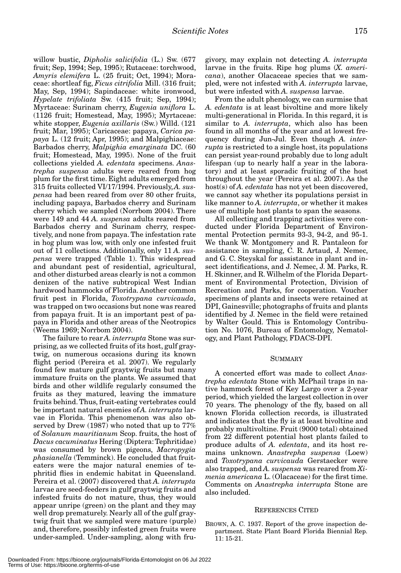willow bustic, *Dipholis salicifolia* (L.) Sw. (677 fruit; Sep, 1994; Sep, 1995); Rutaceae: torchwood, *Amyris elemifera* L. (25 fruit; Oct, 1994); Moraceae: shortleaf fig, *Ficus citrifolia* Mill. (316 fruit; May, Sep, 1994); Sapindaceae: white ironwood, *Hypelate trifoliata* Sw. (415 fruit; Sep, 1994); Myrtaceae: Surinam cherry, *Eugenia uniflora* L. (1126 fruit; Homestead, May, 1995); Myrtaceae: white stopper, *Eugenia axillaris* (Sw.) Willd. (121 fruit; Mar, 1995); Caricaceae: papaya, *Carica papaya* L. (12 fruit; Apr, 1995); and Malpighiaceae: Barbados cherry, *Malpighia emarginata* DC. (60 fruit; Homestead, May, 1995). None of the fruit collections yielded *A. edentata* specimens. *Anastrepha suspensa* adults were reared from hog plum for the first time. Eight adults emerged from 315 fruits collected VI/17/1994. Previously, *A. suspensa* had been reared from over 80 other fruits, including papaya, Barbados cherry and Surinam cherry which we sampled (Norrbom 2004). There were 149 and 44 *A. suspensa* adults reared from Barbados cherry and Surinam cherry, respectively, and none from papaya. The infestation rate in hog plum was low, with only one infested fruit out of 11 collections. Additionally, only 11 *A. suspensa* were trapped (Table 1). This widespread and abundant pest of residential, agricultural, and other disturbed areas clearly is not a common denizen of the native subtropical West Indian hardwood hammocks of Florida. Another common fruit pest in Florida, *Toxotrypana curvicauda*, was trapped on two occasions but none was reared from papaya fruit. It is an important pest of papaya in Florida and other areas of the Neotropics (Weems 1969; Norrbom 2004).

The failure to rear *A. interrupta* Stone was surprising, as we collected fruits of its host, gulf graytwig, on numerous occasions during its known flight period (Pereira et al. 2007). We regularly found few mature gulf graytwig fruits but many immature fruits on the plants. We assumed that birds and other wildlife regularly consumed the fruits as they matured, leaving the immature fruits behind. Thus, fruit-eating vertebrates could be important natural enemies of *A. interrupta* larvae in Florida. This phenomenon was also observed by Drew (1987) who noted that up to 77% of *Solanum mauritianum* Scop. fruits, the host of *Dacus cacuminatus* Hering (Diptera: Tephritidae) was consumed by brown pigeons, *Macropygia phasianella* (Temminck). He concluded that fruiteaters were the major natural enemies of tephritid flies in endemic habitat in Queensland. Pereira et al. (2007) discovered that *A. interrupta* larvae are seed-feeders in gulf graytwig fruits and infested fruits do not mature, thus, they would appear unripe (green) on the plant and they may well drop prematurely. Nearly all of the gulf graytwig fruit that we sampled were mature (purple) and, therefore, possibly infested green fruits were under-sampled. Under-sampling, along with fru-

givory, may explain not detecting *A. interrupta* larvae in the fruits. Ripe hog plums (*X. americana*), another Olacaceae species that we sampled, were not infested with *A. interrupta* larvae, but were infested with *A. suspensa* larvae.

From the adult phenology, we can surmise that *A. edentata* is at least bivoltine and more likely multi-generational in Florida. In this regard, it is similar to *A. interrupta*, which also has been found in all months of the year and at lowest frequency during Jun-Jul. Even though *A. interrupta* is restricted to a single host, its populations can persist year-round probably due to long adult lifespan (up to nearly half a year in the laboratory) and at least sporadic fruiting of the host throughout the year (Pereira et al. 2007). As the host(s) of *A. edentata* has not yet been discovered, we cannot say whether its populations persist in like manner to *A. interrupta*, or whether it makes use of multiple host plants to span the seasons.

All collecting and trapping activities were conducted under Florida Department of Environmental Protection permits 93-3, 94-2, and 95-1. We thank W. Montgomery and R. Pantaleon for assistance in sampling, C. R. Artaud, J. Nemec, and G. C. Steyskal for assistance in plant and insect identifications, and J. Nemec, J. M. Parks, R. H. Skinner, and R. Wilhelm of the Florida Department of Environmental Protection, Division of Recreation and Parks, for cooperation. Voucher specimens of plants and insects were retained at DPI, Gainesville; photographs of fruits and plants identified by J. Nemec in the field were retained by Walter Gould. This is Entomology Contribution No. 1076, Bureau of Entomology, Nematology, and Plant Pathology, FDACS-DPI.

## **SUMMARY**

A concerted effort was made to collect *Anastrepha edentata* Stone with McPhail traps in native hammock forest of Key Largo over a 2-year period, which yielded the largest collection in over 70 years. The phenology of the fly, based on all known Florida collection records, is illustrated and indicates that the fly is at least bivoltine and probably multivoltine. Fruit (9000 total) obtained from 22 different potential host plants failed to produce adults of *A. edentata*, and its host remains unknown. *Anastrepha suspensa* (Loew) and *Toxotrypana curvicauda* Gerstaecker were also trapped, and *A. suspensa* was reared from *Ximenia americana* L. (Olacaceae) for the first time. Comments on *Anastrepha interrupta* Stone are also included.

## REFERENCES CITED

BROWN, A. C. 1937. Report of the grove inspection department. State Plant Board Florida Biennial Rep. 11: 15-21.